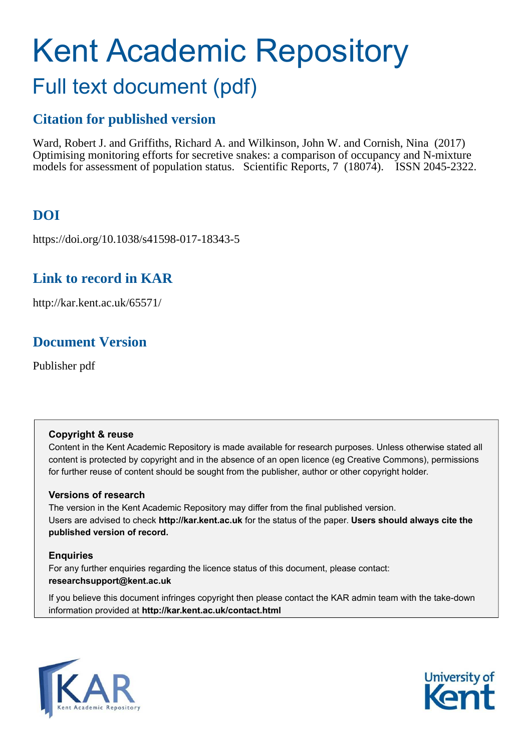# Kent Academic Repository Full text document (pdf)

# **Citation for published version**

Ward, Robert J. and Griffiths, Richard A. and Wilkinson, John W. and Cornish, Nina (2017) Optimising monitoring efforts for secretive snakes: a comparison of occupancy and N-mixture models for assessment of population status. Scientific Reports, 7 (18074). ISSN 2045-2322.

# **DOI**

https://doi.org/10.1038/s41598-017-18343-5

# **Link to record in KAR**

http://kar.kent.ac.uk/65571/

# **Document Version**

Publisher pdf

# **Copyright & reuse**

Content in the Kent Academic Repository is made available for research purposes. Unless otherwise stated all content is protected by copyright and in the absence of an open licence (eg Creative Commons), permissions for further reuse of content should be sought from the publisher, author or other copyright holder.

# **Versions of research**

The version in the Kent Academic Repository may differ from the final published version. Users are advised to check **http://kar.kent.ac.uk** for the status of the paper. **Users should always cite the published version of record.**

# **Enquiries**

For any further enquiries regarding the licence status of this document, please contact: **researchsupport@kent.ac.uk**

If you believe this document infringes copyright then please contact the KAR admin team with the take-down information provided at **http://kar.kent.ac.uk/contact.html**



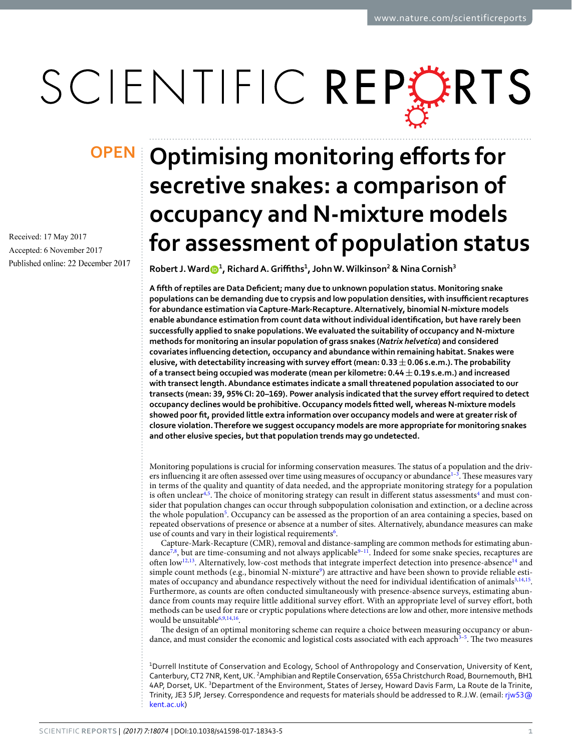# SCIENTIFIC REPERTS

Received: 17 May 2017 Accepted: 6 November 2017 Published online: 22 December 2017

# **OPEN** Optimising monitoring efforts for secretive snakes: a comparison of **occupancy and N-mixture models for assessment of population status**

<span id="page-1-0"></span> $\bf{Robert\ J. \ Ward\odot}^1$  $\bf{Robert\ J. \ Ward\odot}^1$  $\bf{Robert\ J. \ Ward\odot}^1$ , Richard A. Griffiths<sup>1</sup>, John W. Wilkinson<sup>2</sup> & Nina Cornish<sup>3</sup>

A fifth of reptiles are Data Deficient; many due to unknown population status. Monitoring snake populations can be demanding due to crypsis and low population densities, with insufficient recaptures for abundance estimation via Capture-Mark-Recapture. Alternatively, binomial N-mixture models enable abundance estimation from count data without individual identification, but have rarely been successfully applied to snake populations. We evaluated the suitability of occupancy and N-mixture **methods for monitoring an insular population of grass snakes ゅ***Natrix helvetica***) and considered**  covariates influencing detection, occupancy and abundance within remaining habitat. Snakes were **elusive, with detectability increasing with survey effort (mean:**  $0.33 \pm 0.06$  **s.e.m.). The probability of a transect being occupied was moderate (mean per kilometre: 0.44**  $\pm$  **0.19 s.e.m.) and increased** with transect length. Abundance estimates indicate a small threatened population associated to our transects (mean: 39, 95% CI: 20-169). Power analysis indicated that the survey effort required to detect occupancy declines would be prohibitive. Occupancy models fitted well, whereas N-mixture models showed poor fit, provided little extra information over occupancy models and were at greater risk of closure violation. Therefore we suggest occupancy models are more appropriate for monitoring snakes **and other elusive species, but that population trends may go undetected.**

Monitoring populations is crucial for informing conservation measures. The status of a population and the driv-ers influencing it are often assessed over time using measures of occupancy or abundance<sup>[1](#page-9-0)-3</sup>. These measures vary in terms of the quality and quantity of data needed, and the appropriate monitoring strategy for a population is often unclear<sup>[4,](#page-9-2)[5](#page-9-3)</sup>. The choice of monitoring strategy can result in different status assessments<sup>[4](#page-9-2)</sup> and must consider that population changes can occur through subpopulation colonisation and extinction, or a decline across the whole population<sup>[5](#page-9-3)</sup>. Occupancy can be assessed as the proportion of an area containing a species, based on repeated observations of presence or absence at a number of sites. Alternatively, abundance measures can make use of counts and vary in their logistical requirements<sup>[6](#page-9-4)</sup>.

Capture-Mark-Recapture (CMR), removal and distance-sampling are common methods for estimating abun-dance<sup>[7](#page-9-5)[,8](#page-9-6)</sup>, but are time-consuming and not always applicable<sup>[9](#page-9-7)-11</sup>. Indeed for some snake species, recaptures are often low<sup>[12,](#page-9-9)[13](#page-9-10)</sup>. Alternatively, low-cost methods that integrate imperfect detection into presence-absence<sup>[14](#page-9-11)</sup> and simple count methods (e.g., binomial N-mixture<sup>[9](#page-9-7)</sup>) are attractive and have been shown to provide reliable esti-mates of occupancy and abundance respectively without the need for individual identification of animals<sup>[3](#page-9-1),[14,](#page-9-11)[15](#page-9-12)</sup>. Furthermore, as counts are oten conducted simultaneously with presence-absence surveys, estimating abundance from counts may require little additional survey efort. With an appropriate level of survey efort, both methods can be used for rare or cryptic populations where detections are low and other, more intensive methods would be unsuitable<sup>[6](#page-9-4),[9](#page-9-7),[14](#page-9-11),[16](#page-9-13)</sup>.

The design of an optimal monitoring scheme can require a choice between measuring occupancy or abun-dance, and must consider the economic and logistical costs associated with each approach<sup>[3](#page-9-1)-5</sup>. The two measures

<sup>1</sup>Durrell Institute of Conservation and Ecology, School of Anthropology and Conservation, University of Kent, Canterbury, CT2 7NR, Kent, UK. <sup>2</sup>Amphibian and Reptile Conservation, 655a Christchurch Road, Bournemouth, BH1 4AP, Dorset, UK. 3Department of the Environment, States of Jersey, Howard Davis Farm, La Route de la Trinite, Trinity, JE3 5JP, Jersey. Correspondence and requests for materials should be addressed to R.J.W. (email: rjw53@ kent.ac.uk)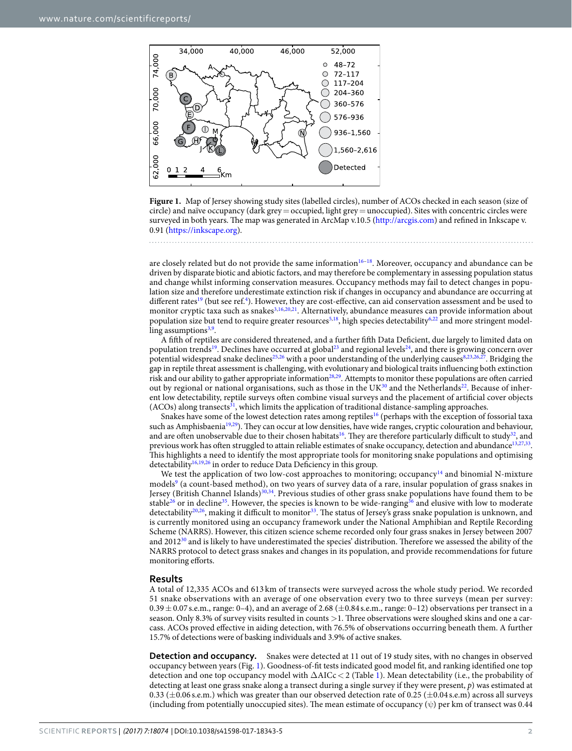<span id="page-2-0"></span>



are closely related but do not provide the same information $16-18$  $16-18$ . Moreover, occupancy and abundance can be driven by disparate biotic and abiotic factors, and may therefore be complementary in assessing population status and change whilst informing conservation measures. Occupancy methods may fail to detect changes in population size and therefore underestimate extinction risk if changes in occupancy and abundance are occurring at different rates<sup>[19](#page-9-15)</sup> (but see ref.<sup>[4](#page-9-2)</sup>). However, they are cost-effective, can aid conservation assessment and be used to monitor cryptic taxa such as snakes<sup>[3](#page-9-1),[16](#page-9-13),[20](#page-9-16),[21](#page-9-17)</sup>. Alternatively, abundance measures can provide information about population size but tend to require greater resources<sup>[5](#page-9-3),[18](#page-9-14)</sup>, high species detectability<sup>[6](#page-9-4)[,22](#page-9-18)</sup> and more stringent model-ling assumptions<sup>[3](#page-9-1)[,9](#page-9-7)</sup>.

A ith of reptiles are considered threatened, and a further ith Data Deicient, due largely to limited data on population trends<sup>[19](#page-9-15)</sup>. Declines have occurred at global<sup>[23](#page-9-19)</sup> and regional levels<sup>[24](#page-9-20)</sup>, and there is growing concern over potential widespread snake declines<sup>[25](#page-9-21),[26](#page-9-22)</sup> with a poor understanding of the underlying causes<sup>[8](#page-9-6)[,23](#page-9-19)[,26](#page-9-22)[,27](#page-9-23)</sup>. Bridging the gap in reptile threat assessment is challenging, with evolutionary and biological traits inluencing both extinction risk and our ability to gather appropriate information[28](#page-9-24)[,29](#page-9-25). Attempts to monitor these populations are oten carried out by regional or national organisations, such as those in the UK $^{30}$  $^{30}$  $^{30}$  and the Netherlands<sup>[22](#page-9-18)</sup>. Because of inherent low detectability, reptile surveys oten combine visual surveys and the placement of artiicial cover objects  $(ACOs)$  along transects<sup>[31](#page-9-27)</sup>, which limits the application of traditional distance-sampling approaches.

Snakes have some of the lowest detection rates among reptiles<sup>[16](#page-9-13)</sup> (perhaps with the exception of fossorial taxa such as Amphisbaenia<sup>[19,](#page-9-15)[29](#page-9-25)</sup>). They can occur at low densities, have wide ranges, cryptic colouration and behaviour, and are often unobservable due to their chosen habitats<sup>[16](#page-9-13)</sup>. They are therefore particularly difficult to study<sup>[32](#page-9-28)</sup>, and previous work has often struggled to attain reliable estimates of snake occupancy, detection and abundance<sup>[13,](#page-9-10)[27,](#page-9-23)[33](#page-9-29)</sup>. This highlights a need to identify the most appropriate tools for monitoring snake populations and optimising detectability<sup>[16](#page-9-13),[19](#page-9-15),[26](#page-9-22)</sup> in order to reduce Data Deficiency in this group.

We test the application of two low-cost approaches to monitoring; occupancy<sup>[14](#page-9-11)</sup> and binomial N-mixture models<sup>[9](#page-9-7)</sup> (a count-based method), on two years of survey data of a rare, insular population of grass snakes in Jersey (British Channel Islands)<sup>[30](#page-9-26)[,34](#page-9-30)</sup>. Previous studies of other grass snake populations have found them to be stable<sup>[26](#page-9-22)</sup> or in decline<sup>[35](#page-9-31)</sup>. However, the species is known to be wide-ranging<sup>[36](#page-9-32)</sup> and elusive with low to moderate detectability<sup>[20](#page-9-16)[,26](#page-9-22)</sup>, making it difficult to monitor<sup>[33](#page-9-29)</sup>. The status of Jersey's grass snake population is unknown, and is currently monitored using an occupancy framework under the National Amphibian and Reptile Recording Scheme (NARRS). However, this citizen science scheme recorded only four grass snakes in Jersey between 2007 and 2012<sup>[30](#page-9-26)</sup> and is likely to have underestimated the species' distribution. Therefore we assessed the ability of the NARRS protocol to detect grass snakes and changes in its population, and provide recommendations for future monitoring efforts.

## <span id="page-2-1"></span>**Results**

A total of 12,335 ACOs and 613 km of transects were surveyed across the whole study period. We recorded 51 snake observations with an average of one observation every two to three surveys (mean per survey:  $0.39 \pm 0.07$  s.e.m., range: 0–4), and an average of 2.68 ( $\pm 0.84$  s.e.m., range: 0–12) observations per transect in a season. Only 8.3% of survey visits resulted in counts >1. Three observations were sloughed skins and one a carcass. ACOs proved efective in aiding detection, with 76.5% of observations occurring beneath them. A further 15.7% of detections were of basking individuals and 3.9% of active snakes.

**Detection and occupancy.** Snakes were detected at 11 out of 19 study sites, with no changes in observed occupancy between years (Fig. [1](#page-1-0)). Goodness-of-it tests indicated good model it, and ranking identiied one top detection and one top occupancy model with ∆AICc < 2 (Table [1\)](#page-2-0). Mean detectability (i.e., the probability of detecting at least one grass snake along a transect during a single survey if they were present, p) was estimated at 0.33 ( $\pm$ 0.06 s.e.m.) which was greater than our observed detection rate of 0.25 ( $\pm$ 0.04 s.e.m) across all surveys (including from potentially unoccupied sites). The mean estimate of occupancy  $(\psi)$  per km of transect was 0.44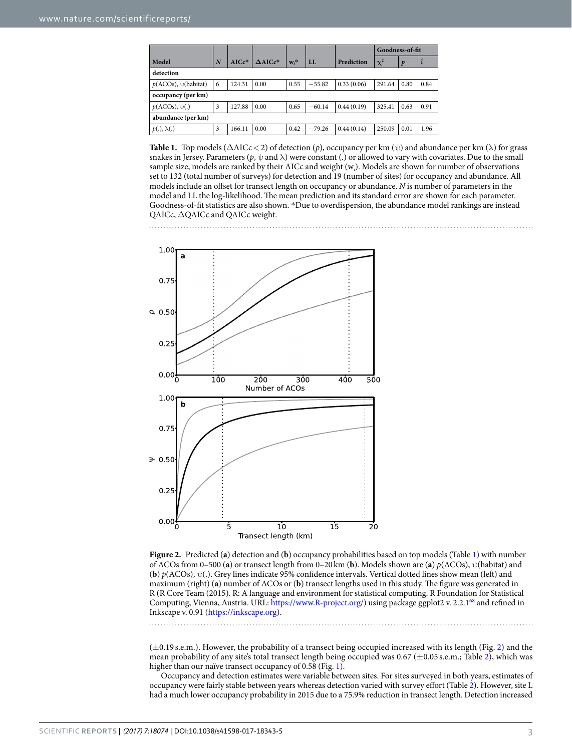<span id="page-3-0"></span>

|                              |                |         |                   |         |          |            | Goodness-of-fit |      |           |
|------------------------------|----------------|---------|-------------------|---------|----------|------------|-----------------|------|-----------|
| Model                        | $\overline{N}$ | $AICc*$ | $\triangle$ AICc* | $W_i^*$ | LL       | Prediction | $\chi^2$        | p    | $\hat{c}$ |
| detection                    |                |         |                   |         |          |            |                 |      |           |
| $p(ACOs)$ , $\psi$ (habitat) | 6              | 124.31  | 0.00              | 0.55    | $-55.82$ | 0.33(0.06) | 291.64          | 0.80 | 0.84      |
| occupancy (per km)           |                |         |                   |         |          |            |                 |      |           |
| $p(ACOs), \psi(.)$           | 3              | 127.88  | 0.00              | 0.65    | $-60.14$ | 0.44(0.19) | 325.41          | 0.63 | 0.91      |
| abundance (per km)           |                |         |                   |         |          |            |                 |      |           |
| $p(.)$ , $\lambda(.)$        | 3              | 166.11  | 0.00              | 0.42    | $-79.26$ | 0.44(0.14) | 250.09          | 0.01 | 1.96      |

**Table 1.** Top models ( $\triangle$ AICc < 2) of detection (p), occupancy per km ( $\psi$ ) and abundance per km ( $\lambda$ ) for grass snakes in Jersey. Parameters  $(p, \psi \text{ and } \lambda)$  were constant (.) or allowed to vary with covariates. Due to the small sample size, models are ranked by their AICc and weight  $(w_i)$ . Models are shown for number of observations set to 132 (total number of surveys) for detection and 19 (number of sites) for occupancy and abundance. All models include an ofset for transect length on occupancy or abundance. N is number of parameters in the model and LL the log-likelihood. The mean prediction and its standard error are shown for each parameter. Goodness-of-it statistics are also shown. \*Due to overdispersion, the abundance model rankings are instead QAICc, ∆QAICc and QAICc weight.



**Figure 2.** Predicted (**a**) detection and (**b**) occupancy probabilities based on top models (Table [1](#page-2-0)) with number of ACOs from 0–500 (**a**) or transect length from 0–20 km (**b**). Models shown are (**a**) p(ACOs), ψ(habitat) and (**b**)  $p$ (ACOs),  $\psi$ (.). Grey lines indicate 95% confidence intervals. Vertical dotted lines show mean (left) and maximum (right) (a) number of ACOs or (b) transect lengths used in this study. The figure was generated in R (R Core Team (2015). R: A language and environment for statistical computing. R Foundation for Statistical Computing, Vienna, Austria. URL: [https://www.R-project.org/\)](https://www.R-project.org/) using package ggplot2 v. 2.2.1[68](#page-10-0) and reined in Inkscape v. 0.91 (<https://inkscape.org>).

 $(\pm 0.19 \text{ s.e. m.})$ . However, the probability of a transect being occupied increased with its length (Fig. [2](#page-2-1)) and the mean probability of any site's total transect length being occupied was 0.67 (±0.05 s.e.m.; Table [2](#page-3-0)), which was higher than our naïve transect occupancy of 0.58 (Fig. [1](#page-1-0)).

Occupancy and detection estimates were variable between sites. For sites surveyed in both years, estimates of occupancy were fairly stable between years whereas detection varied with survey efort (Table [2](#page-3-0)). However, site L had a much lower occupancy probability in 2015 due to a 75.9% reduction in transect length. Detection increased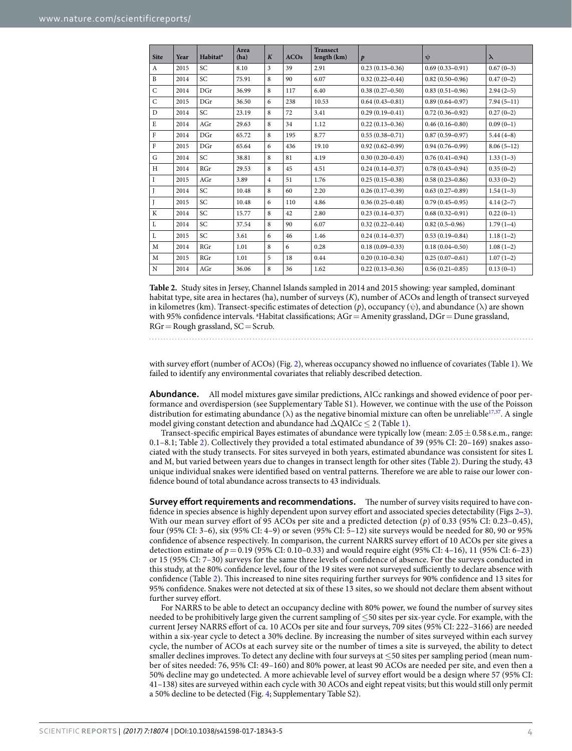| <b>Site</b>    | Year | <b>Habitat<sup>a</sup></b> | Area<br>(ha) | K              | ACOs | <b>Transect</b><br>length (km) | $\boldsymbol{p}$    | $\psi$              | $\lambda$    |
|----------------|------|----------------------------|--------------|----------------|------|--------------------------------|---------------------|---------------------|--------------|
| A              | 2015 | SC.                        | 8.10         | 3              | 39   | 2.91                           | $0.23(0.13 - 0.36)$ | $0.69(0.33 - 0.91)$ | $0.67(0-3)$  |
| B              | 2014 | SC                         | 75.91        | 8              | 90   | 6.07                           | $0.32(0.22 - 0.44)$ | $0.82(0.50 - 0.96)$ | $0.47(0-2)$  |
| $\mathsf{C}$   | 2014 | DGr                        | 36.99        | 8              | 117  | 6.40                           | $0.38(0.27 - 0.50)$ | $0.83(0.51 - 0.96)$ | $2.94(2-5)$  |
| $\overline{C}$ | 2015 | DGr                        | 36.50        | 6              | 238  | 10.53                          | $0.64(0.43 - 0.81)$ | $0.89(0.64 - 0.97)$ | $7.94(5-11)$ |
| D              | 2014 | SC.                        | 23.19        | 8              | 72   | 3.41                           | $0.29(0.19 - 0.41)$ | $0.72(0.36 - 0.92)$ | $0.27(0-2)$  |
| E              | 2014 | AGr                        | 29.63        | 8              | 34   | 1.12                           | $0.22(0.13 - 0.36)$ | $0.46(0.16 - 0.80)$ | $0.09(0-1)$  |
| F              | 2014 | DGr                        | 65.72        | 8              | 195  | 8.77                           | $0.55(0.38 - 0.71)$ | $0.87(0.59 - 0.97)$ | $5.44(4-8)$  |
| $\mathbf{F}$   | 2015 | DGr                        | 65.64        | 6              | 436  | 19.10                          | $0.92(0.62 - 0.99)$ | $0.94(0.76 - 0.99)$ | $8.06(5-12)$ |
| G              | 2014 | SC                         | 38.81        | 8              | 81   | 4.19                           | $0.30(0.20 - 0.43)$ | $0.76(0.41 - 0.94)$ | $1.33(1-3)$  |
| H              | 2014 | RGr                        | 29.53        | 8              | 45   | 4.51                           | $0.24(0.14 - 0.37)$ | $0.78(0.43 - 0.94)$ | $0.35(0-2)$  |
| I              | 2015 | AGr                        | 3.89         | $\overline{4}$ | 51   | 1.76                           | $0.25(0.15 - 0.38)$ | $0.58(0.23 - 0.86)$ | $0.33(0-2)$  |
|                | 2014 | SC                         | 10.48        | 8              | 60   | 2.20                           | $0.26(0.17-0.39)$   | $0.63(0.27-0.89)$   | $1.54(1-3)$  |
|                | 2015 | SC                         | 10.48        | 6              | 110  | 4.86                           | $0.36(0.25 - 0.48)$ | $0.79(0.45 - 0.95)$ | $4.14(2-7)$  |
| K              | 2014 | SC                         | 15.77        | 8              | 42   | 2.80                           | $0.23(0.14 - 0.37)$ | $0.68(0.32 - 0.91)$ | $0.22(0-1)$  |
| L              | 2014 | SC                         | 37.54        | 8              | 90   | 6.07                           | $0.32(0.22 - 0.44)$ | $0.82(0.5 - 0.96)$  | $1.79(1-4)$  |
| $\mathbf{L}$   | 2015 | SC                         | 3.61         | 6              | 46   | 1.46                           | $0.24(0.14 - 0.37)$ | $0.53(0.19 - 0.84)$ | $1.18(1-2)$  |
| M              | 2014 | RGr                        | 1.01         | 8              | 6    | 0.28                           | $0.18(0.09 - 0.33)$ | $0.18(0.04 - 0.50)$ | $1.08(1-2)$  |
| M              | 2015 | RGr                        | 1.01         | 5              | 18   | 0.44                           | $0.20(0.10 - 0.34)$ | $0.25(0.07-0.61)$   | $1.07(1-2)$  |
| N              | 2014 | AGr                        | 36.06        | 8              | 36   | 1.62                           | $0.22(0.13 - 0.36)$ | $0.56(0.21 - 0.85)$ | $0.13(0-1)$  |

<span id="page-4-0"></span>**Table 2.** Study sites in Jersey, Channel Islands sampled in 2014 and 2015 showing: year sampled, dominant habitat type, site area in hectares (ha), number of surveys (K), number of ACOs and length of transect surveyed in kilometres (km). Transect-specific estimates of detection  $(p)$ , occupancy  $(\psi)$ , and abundance  $(\lambda)$  are shown with 95% confidence intervals. <sup>a</sup>Habitat classifications;  $AGr =$  Amenity grassland,  $DGr =$  Dune grassland,  $RGr = Rough$  grassland,  $SC = Scrub$ .

with survey effort (number of ACOs) (Fig. [2](#page-2-1)), whereas occupancy showed no influence of covariates (Table [1](#page-2-0)). We failed to identify any environmental covariates that reliably described detection.

**Abundance.** All model mixtures gave similar predictions, AICc rankings and showed evidence of poor performance and overdispersion (see Supplementary Table S1). However, we continue with the use of the Poisson distribution for estimating abundance  $(\lambda)$  as the negative binomial mixture can often be unreliable<sup>[17](#page-9-33),[37](#page-9-34)</sup>. A single model giving constant detection and abundance had  $\Delta QAICc \leq 2$  (Table [1](#page-2-0)).

Transect-specific empirical Bayes estimates of abundance were typically low (mean:  $2.05 \pm 0.58$  s.e.m., range: 0.1–8.1; Table [2\)](#page-3-0). Collectively they provided a total estimated abundance of 39 (95% CI: 20–169) snakes associated with the study transects. For sites surveyed in both years, estimated abundance was consistent for sites L and M, but varied between years due to changes in transect length for other sites (Table [2](#page-3-0)). During the study, 43 unique individual snakes were identified based on ventral patterns. Therefore we are able to raise our lower confidence bound of total abundance across transects to 43 individuals.

**Survey effort requirements and recommendations.** The number of survey visits required to have con-fidence in species absence is highly dependent upon survey effort and associated species detectability (Figs [2](#page-2-1)–[3](#page-4-0)). With our mean survey effort of 95 ACOs per site and a predicted detection  $(p)$  of 0.33 (95% CI: 0.23–0.45), four (95% CI: 3–6), six (95% CI: 4–9) or seven (95% CI: 5–12) site surveys would be needed for 80, 90 or 95% conidence of absence respectively. In comparison, the current NARRS survey efort of 10 ACOs per site gives a detection estimate of  $p = 0.19$  (95% CI: 0.10–0.33) and would require eight (95% CI: 4–16), 11 (95% CI: 6–23) or 15 (95% CI: 7–30) surveys for the same three levels of conidence of absence. For the surveys conducted in this study, at the 80% confidence level, four of the 19 sites were not surveyed sufficiently to declare absence with confidence (Table [2\)](#page-3-0). This increased to nine sites requiring further surveys for 90% confidence and 13 sites for 95% conidence. Snakes were not detected at six of these 13 sites, so we should not declare them absent without further survey effort.

<span id="page-4-1"></span>For NARRS to be able to detect an occupancy decline with 80% power, we found the number of survey sites needed to be prohibitively large given the current sampling of  $\leq$ 50 sites per six-year cycle. For example, with the current Jersey NARRS efort of ca. 10 ACOs per site and four surveys, 709 sites (95% CI: 222–3166) are needed within a six-year cycle to detect a 30% decline. By increasing the number of sites surveyed within each survey cycle, the number of ACOs at each survey site or the number of times a site is surveyed, the ability to detect smaller declines improves. To detect any decline with four surveys at  $\leq$ 50 sites per sampling period (mean number of sites needed: 76, 95% CI: 49–160) and 80% power, at least 90 ACOs are needed per site, and even then a 50% decline may go undetected. A more achievable level of survey efort would be a design where 57 (95% CI: 41–138) sites are surveyed within each cycle with 30 ACOs and eight repeat visits; but this would still only permit a 50% decline to be detected (Fig. [4;](#page-4-1) Supplementary Table S2).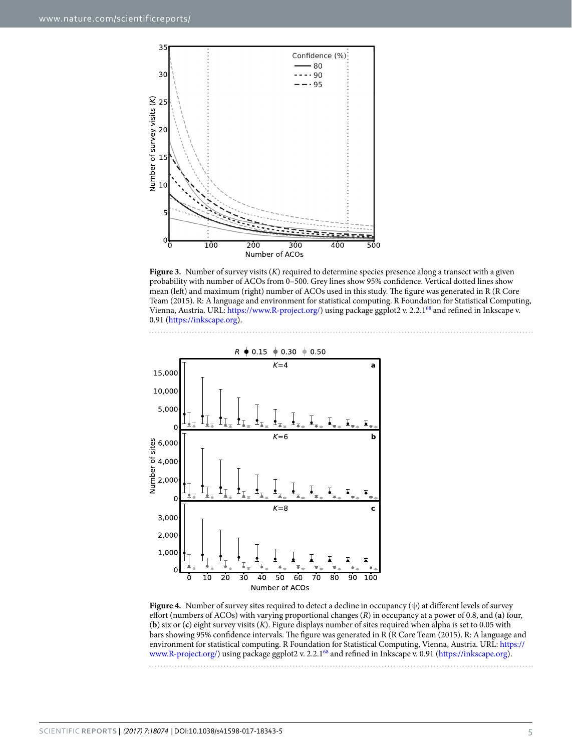

**Figure 3.** Number of survey visits (K) required to determine species presence along a transect with a given probability with number of ACOs from 0–500. Grey lines show 95% conidence. Vertical dotted lines show mean (left) and maximum (right) number of ACOs used in this study. The figure was generated in R (R Core Team (2015). R: A language and environment for statistical computing. R Foundation for Statistical Computing, Vienna, Austria. URL: <https://www.R-project.org/>) using package ggplot2 v. 2.2.1[68](#page-10-0) and reined in Inkscape v. 0.91 ([https://inkscape.org\)](https://inkscape.org).



**Figure 4.** Number of survey sites required to detect a decline in occupancy (ψ) at diferent levels of survey efort (numbers of ACOs) with varying proportional changes (R) in occupancy at a power of 0.8, and (**a**) four, (**b**) six or (**c**) eight survey visits (K). Figure displays number of sites required when alpha is set to 0.05 with bars showing 95% confidence intervals. The figure was generated in R (R Core Team (2015). R: A language and environment for statistical computing. R Foundation for Statistical Computing, Vienna, Austria. URL: [https://](https://www.R-project.org/) [www.R-project.org/](https://www.R-project.org/)) using package ggplot2 v. 2.2.1[68](#page-10-0) and reined in Inkscape v. 0.91 (<https://inkscape.org>).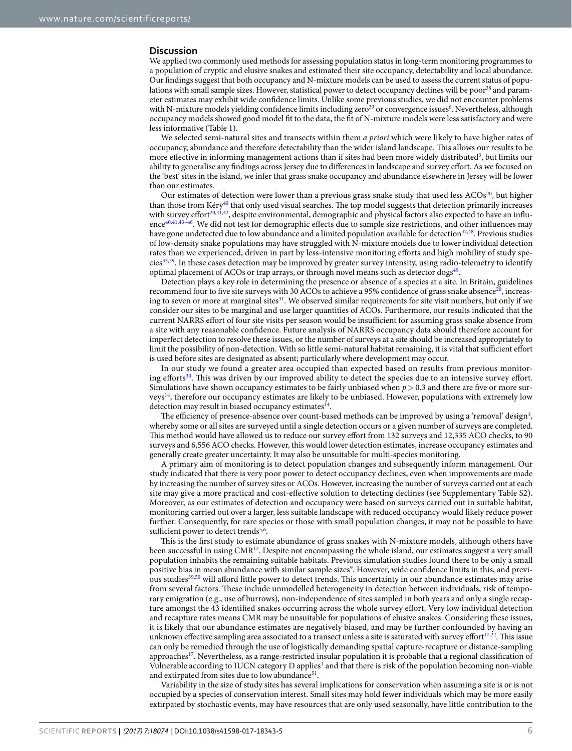## **Discussion**

We applied two commonly used methods for assessing population status in long-term monitoring programmes to a population of cryptic and elusive snakes and estimated their site occupancy, detectability and local abundance. Our findings suggest that both occupancy and N-mixture models can be used to assess the current status of popu-lations with small sample sizes. However, statistical power to detect occupancy declines will be poor<sup>[38](#page-10-1)</sup> and parameter estimates may exhibit wide conidence limits. Unlike some previous studies, we did not encounter problems with N-mixture models yielding confidence limits including zero<sup>[39](#page-10-2)</sup> or convergence issues<sup>[6](#page-9-4)</sup>. Nevertheless, although occupancy models showed good model it to the data, the it of N-mixture models were less satisfactory and were less informative (Table [1](#page-2-0)).

We selected semi-natural sites and transects within them a priori which were likely to have higher rates of occupancy, abundance and therefore detectability than the wider island landscape. This allows our results to be more effective in informing management actions than if sites had been more widely distributed<sup>[3](#page-9-1)</sup>, but limits our ability to generalise any indings across Jersey due to diferences in landscape and survey efort. As we focused on the 'best' sites in the island, we infer that grass snake occupancy and abundance elsewhere in Jersey will be lower than our estimates.

Our estimates of detection were lower than a previous grass snake study that used less  $ACOs<sup>20</sup>$  $ACOs<sup>20</sup>$  $ACOs<sup>20</sup>$ , but higher than those from Kéry<sup>[40](#page-10-3)</sup> that only used visual searches. The top model suggests that detection primarily increases with survey effort<sup>[20](#page-9-16)[,41](#page-10-4)[,42](#page-10-5)</sup>, despite environmental, demographic and physical factors also expected to have an influ-ence<sup>[40](#page-10-3)[,41](#page-10-4)[,43](#page-10-6)[–46](#page-10-7)</sup>. We did not test for demographic effects due to sample size restrictions, and other influences may have gone undetected due to low abundance and a limited population available for detection<sup>[47](#page-10-8),[48](#page-10-9)</sup>. Previous studies of low-density snake populations may have struggled with N-mixture models due to lower individual detection rates than we experienced, driven in part by less-intensive monitoring eforts and high mobility of study spe-cies<sup>[33,](#page-9-29)[39](#page-10-2)</sup>. In these cases detection may be improved by greater survey intensity, using radio-telemetry to identify optimal placement of ACOs or trap arrays, or through novel means such as detector dogs<sup>[49](#page-10-10)</sup>.

Detection plays a key role in determining the presence or absence of a species at a site. In Britain, guidelines recommend four to five site surveys with 30 ACOs to achieve a 95% confidence of grass snake absence<sup>[20](#page-9-16)</sup>, increas-ing to seven or more at marginal sites<sup>[31](#page-9-27)</sup>. We observed similar requirements for site visit numbers, but only if we consider our sites to be marginal and use larger quantities of ACOs. Furthermore, our results indicated that the current NARRS effort of four site visits per season would be insufficient for assuming grass snake absence from a site with any reasonable conidence. Future analysis of NARRS occupancy data should therefore account for imperfect detection to resolve these issues, or the number of surveys at a site should be increased appropriately to limit the possibility of non-detection. With so little semi-natural habitat remaining, it is vital that sufficient effort is used before sites are designated as absent; particularly where development may occur.

In our study we found a greater area occupied than expected based on results from previous monitor-ing efforts<sup>[30](#page-9-26)</sup>. This was driven by our improved ability to detect the species due to an intensive survey effort. Simulations have shown occupancy estimates to be fairly unbiased when  $p > 0.3$  and there are five or more surveys[14](#page-9-11), therefore our occupancy estimates are likely to be unbiased. However, populations with extremely low detection may result in biased occupancy estimates<sup>[14](#page-9-11)</sup>.

The efficiency of presence-absence over count-based methods can be improved by using a 'removal' design<sup>[3](#page-9-1)</sup>, whereby some or all sites are surveyed until a single detection occurs or a given number of surveys are completed. This method would have allowed us to reduce our survey effort from 132 surveys and 12,335 ACO checks, to 90 surveys and 6,556 ACO checks. However, this would lower detection estimates, increase occupancy estimates and generally create greater uncertainty. It may also be unsuitable for multi-species monitoring.

A primary aim of monitoring is to detect population changes and subsequently inform management. Our study indicated that there is very poor power to detect occupancy declines, even when improvements are made by increasing the number of survey sites or ACOs. However, increasing the number of surveys carried out at each site may give a more practical and cost-efective solution to detecting declines (see Supplementary Table S2). Moreover, as our estimates of detection and occupancy were based on surveys carried out in suitable habitat, monitoring carried out over a larger, less suitable landscape with reduced occupancy would likely reduce power further. Consequently, for rare species or those with small population changes, it may not be possible to have sufficient power to detect trends<sup>[5](#page-9-3)[,6](#page-9-4)</sup>.

This is the first study to estimate abundance of grass snakes with N-mixture models, although others have been successful in using CMR[12](#page-9-9). Despite not encompassing the whole island, our estimates suggest a very small population inhabits the remaining suitable habitats. Previous simulation studies found there to be only a small positive bias in mean abundance with similar sample sizes<sup>[9](#page-9-7)</sup>. However, wide confidence limits in this, and previ-ous studies<sup>[39,](#page-10-2)[50](#page-10-11)</sup> will afford little power to detect trends. This uncertainty in our abundance estimates may arise from several factors. hese include unmodelled heterogeneity in detection between individuals, risk of temporary emigration (e.g., use of burrows), non-independence of sites sampled in both years and only a single recapture amongst the 43 identiied snakes occurring across the whole survey efort. Very low individual detection and recapture rates means CMR may be unsuitable for populations of elusive snakes. Considering these issues, it is likely that our abundance estimates are negatively biased, and may be further confounded by having an unknown effective sampling area associated to a transect unless a site is saturated with survey effort<sup>[17,](#page-9-33)[22](#page-9-18)</sup>. This issue can only be remedied through the use of logistically demanding spatial capture-recapture or distance-sampling approaches<sup>[17](#page-9-33)</sup>. Nevertheless, as a range-restricted insular population it is probable that a regional classification of Vulnerable according to IUCN category D applies<sup>[1](#page-9-0)</sup> and that there is risk of the population becoming non-viable and extirpated from sites due to low abundance<sup>[51](#page-10-12)</sup>.

Variability in the size of study sites has several implications for conservation when assuming a site is or is not occupied by a species of conservation interest. Small sites may hold fewer individuals which may be more easily extirpated by stochastic events, may have resources that are only used seasonally, have little contribution to the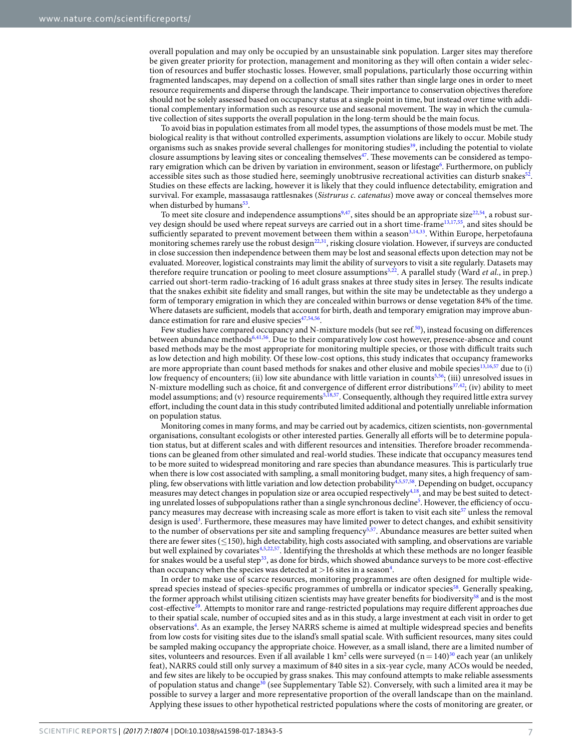overall population and may only be occupied by an unsustainable sink population. Larger sites may therefore be given greater priority for protection, management and monitoring as they will oten contain a wider selection of resources and bufer stochastic losses. However, small populations, particularly those occurring within fragmented landscapes, may depend on a collection of small sites rather than single large ones in order to meet resource requirements and disperse through the landscape. heir importance to conservation objectives therefore should not be solely assessed based on occupancy status at a single point in time, but instead over time with additional complementary information such as resource use and seasonal movement. The way in which the cumulative collection of sites supports the overall population in the long-term should be the main focus.

To avoid bias in population estimates from all model types, the assumptions of those models must be met. The biological reality is that without controlled experiments, assumption violations are likely to occur. Mobile study organisms such as snakes provide several challenges for monitoring studies $39$ , including the potential to violate closure assumptions by leaving sites or concealing themselves<sup>[47](#page-10-8)</sup>. These movements can be considered as tempo-rary emigration which can be driven by variation in environment, season or lifestage<sup>[6](#page-9-4)</sup>. Furthermore, on publicly accessible sites such as those studied here, seemingly unobtrusive recreational activities can disturb snakes $^{52}$  $^{52}$  $^{52}$ . Studies on these efects are lacking, however it is likely that they could inluence detectability, emigration and survival. For example, massasauga rattlesnakes (Sistrurus c. catenatus) move away or conceal themselves more when disturbed by humans<sup>[53](#page-10-14)</sup>.

To meet site closure and independence assumptions<sup>[9](#page-9-7)[,47](#page-10-8)</sup>, sites should be an appropriate size<sup>[22,](#page-9-18)[54](#page-10-15)</sup>, a robust survey design should be used where repeat surveys are carried out in a short time-frame[13](#page-9-10)[,17](#page-9-33)[,55](#page-10-16), and sites should be sufficiently separated to prevent movement between them within a season<sup>[3,](#page-9-1)[14,](#page-9-11)[33](#page-9-29)</sup>. Within Europe, herpetofauna monitoring schemes rarely use the robust design<sup>[22](#page-9-18)[,31](#page-9-27)</sup>, risking closure violation. However, if surveys are conducted in close succession then independence between them may be lost and seasonal efects upon detection may not be evaluated. Moreover, logistical constraints may limit the ability of surveyors to visit a site regularly. Datasets may therefore require truncation or pooling to meet closure assumptions<sup>[3](#page-9-1),[22](#page-9-18)</sup>. A parallel study (Ward *et al.*, in prep.) carried out short-term radio-tracking of 16 adult grass snakes at three study sites in Jersey. The results indicate that the snakes exhibit site idelity and small ranges, but within the site may be undetectable as they undergo a form of temporary emigration in which they are concealed within burrows or dense vegetation 84% of the time. Where datasets are sufficient, models that account for birth, death and temporary emigration may improve abun-dance estimation for rare and elusive species<sup>[47](#page-10-8),[54](#page-10-15)[,56](#page-10-17)</sup>.

Few studies have compared occupancy and N-mixture models (but see ref.<sup>[50](#page-10-11)</sup>), instead focusing on differences between abundance methods<sup>[6](#page-9-4),[41](#page-10-4),[56](#page-10-17)</sup>. Due to their comparatively low cost however, presence-absence and count based methods may be the most appropriate for monitoring multiple species, or those with difficult traits such as low detection and high mobility. Of these low-cost options, this study indicates that occupancy frameworks are more appropriate than count based methods for snakes and other elusive and mobile species<sup>[13](#page-9-10),[16](#page-9-13),[57](#page-10-18)</sup> due to (i) low frequency of encounters; (ii) low site abundance with little variation in counts<sup>[5](#page-9-3)[,56](#page-10-17)</sup>; (iii) unresolved issues in N-mixture modelling such as choice, fit and convergence of different error distributions<sup>[37](#page-9-34)[,42](#page-10-5)</sup>; (iv) ability to meet model assumptions; and (v) resource requirements<sup>[5](#page-9-3)[,18](#page-9-14)[,57](#page-10-18)</sup>. Consequently, although they required little extra survey efort, including the count data in this study contributed limited additional and potentially unreliable information on population status.

Monitoring comes in many forms, and may be carried out by academics, citizen scientists, non-governmental organisations, consultant ecologists or other interested parties. Generally all eforts will be to determine population status, but at different scales and with different resources and intensities. Therefore broader recommendations can be gleaned from other simulated and real-world studies. These indicate that occupancy measures tend to be more suited to widespread monitoring and rare species than abundance measures. This is particularly true when there is low cost associated with sampling, a small monitoring budget, many sites, a high frequency of sampling, few observations with little variation and low detection probability[4](#page-9-2)[,5](#page-9-3)[,57](#page-10-18)[,58](#page-10-19). Depending on budget, occupancy measures may detect changes in population size or area occupied respectively[4](#page-9-2),[18](#page-9-14), and may be best suited to detect-ing unrelated losses of subpopulations rather than a single synchronous decline<sup>[5](#page-9-3)</sup>. However, the efficiency of occu-pancy measures may decrease with increasing scale as more effort is taken to visit each site<sup>[57](#page-10-18)</sup> unless the removal design is used<sup>[3](#page-9-1)</sup>. Furthermore, these measures may have limited power to detect changes, and exhibit sensitivity to the number of observations per site and sampling frequency<sup>[5](#page-9-3),[57](#page-10-18)</sup>. Abundance measures are better suited when there are fewer sites (≤150), high detectability, high costs associated with sampling, and observations are variable but well explained by covariates<sup>[4](#page-9-2)[,5](#page-9-3)[,22](#page-9-18),[57](#page-10-18)</sup>. Identifying the thresholds at which these methods are no longer feasible for snakes would be a useful step<sup>[33](#page-9-29)</sup>, as done for birds, which showed abundance surveys to be more cost-effective than occupancy when the species was detected at  $>$ 16 sites in a season<sup>[4](#page-9-2)</sup>.

In order to make use of scarce resources, monitoring programmes are oten designed for multiple wide-spread species instead of species-specific programmes of umbrella or indicator species<sup>[58](#page-10-19)</sup>. Generally speaking, the former approach whilst utilising citizen scientists may have greater benefits for biodiversity<sup>[58](#page-10-19)</sup> and is the most cost-efective[59](#page-10-20). Attempts to monitor rare and range-restricted populations may require diferent approaches due to their spatial scale, number of occupied sites and as in this study, a large investment at each visit in order to get observations<sup>[4](#page-9-2)</sup>. As an example, the Jersey NARRS scheme is aimed at multiple widespread species and benefits from low costs for visiting sites due to the island's small spatial scale. With sufficient resources, many sites could be sampled making occupancy the appropriate choice. However, as a small island, there are a limited number of sites, volunteers and resources. Even if all available 1 km<sup>2</sup> cells were surveyed (n = 140)<sup>[30](#page-9-26)</sup> each year (an unlikely feat), NARRS could still only survey a maximum of 840 sites in a six-year cycle, many ACOs would be needed, and few sites are likely to be occupied by grass snakes. This may confound attempts to make reliable assessments of population status and change<sup>[30](#page-9-26)</sup> (see Supplementary Table S2). Conversely, with such a limited area it may be possible to survey a larger and more representative proportion of the overall landscape than on the mainland. Applying these issues to other hypothetical restricted populations where the costs of monitoring are greater, or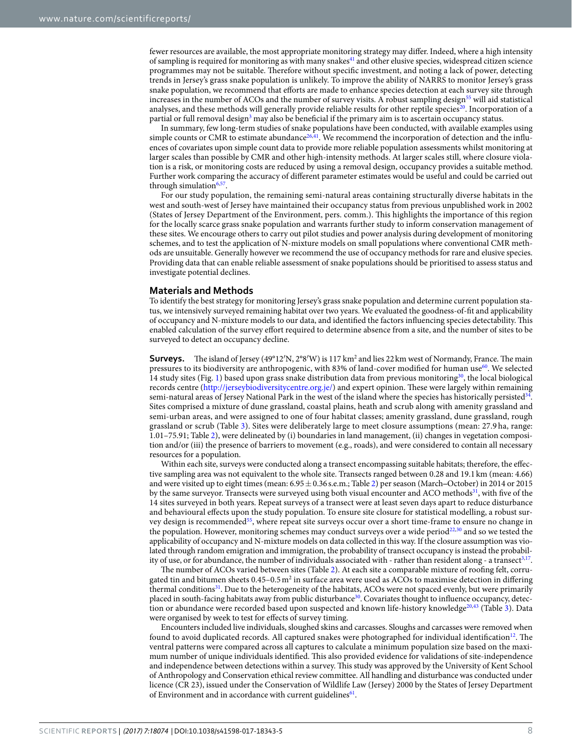<span id="page-8-0"></span>fewer resources are available, the most appropriate monitoring strategy may difer. Indeed, where a high intensity of sampling is required for monitoring as with many snakes<sup>[41](#page-10-4)</sup> and other elusive species, widespread citizen science programmes may not be suitable. herefore without speciic investment, and noting a lack of power, detecting trends in Jersey's grass snake population is unlikely. To improve the ability of NARRS to monitor Jersey's grass snake population, we recommend that efforts are made to enhance species detection at each survey site through increases in the number of ACOs and the number of survey visits. A robust sampling design<sup>[55](#page-10-16)</sup> will aid statistical analyses, and these methods will generally provide reliable results for other reptile species<sup>[20](#page-9-16)</sup>. Incorporation of a partial or full removal design<sup>[3](#page-9-1)</sup> may also be beneficial if the primary aim is to ascertain occupancy status.

In summary, few long-term studies of snake populations have been conducted, with available examples using simple counts or CMR to estimate abundance<sup>[26](#page-9-22)[,41](#page-10-4)</sup>. We recommend the incorporation of detection and the influences of covariates upon simple count data to provide more reliable population assessments whilst monitoring at larger scales than possible by CMR and other high-intensity methods. At larger scales still, where closure violation is a risk, or monitoring costs are reduced by using a removal design, occupancy provides a suitable method. Further work comparing the accuracy of diferent parameter estimates would be useful and could be carried out through simulation<sup>[6](#page-9-4)[,57](#page-10-18)</sup>.

For our study population, the remaining semi-natural areas containing structurally diverse habitats in the west and south-west of Jersey have maintained their occupancy status from previous unpublished work in 2002 (States of Jersey Department of the Environment, pers. comm.). his highlights the importance of this region for the locally scarce grass snake population and warrants further study to inform conservation management of these sites. We encourage others to carry out pilot studies and power analysis during development of monitoring schemes, and to test the application of N-mixture models on small populations where conventional CMR methods are unsuitable. Generally however we recommend the use of occupancy methods for rare and elusive species. Providing data that can enable reliable assessment of snake populations should be prioritised to assess status and investigate potential declines.

## **Materials and Methods**

To identify the best strategy for monitoring Jersey's grass snake population and determine current population status, we intensively surveyed remaining habitat over two years. We evaluated the goodness-of-it and applicability of occupancy and N-mixture models to our data, and identiied the factors inluencing species detectability. his enabled calculation of the survey efort required to determine absence from a site, and the number of sites to be surveyed to detect an occupancy decline.

**Surveys.** The island of Jersey (49°12′N, 2°8′W) is 117 km<sup>2</sup> and lies 22 km west of Normandy, France. The main pressures to its biodiversity are anthropogenic, with 83% of land-cover modified for human use<sup>[60](#page-10-21)</sup>. We selected 14 study sites (Fig. [1\)](#page-1-0) based upon grass snake distribution data from previous monitoring<sup>[30](#page-9-26)</sup>, the local biological records centre (<http://jerseybiodiversitycentre.org.je/>) and expert opinion. hese were largely within remaining semi-natural areas of Jersey National Park in the west of the island where the species has historically persisted<sup>[34](#page-9-30)</sup>. Sites comprised a mixture of dune grassland, coastal plains, heath and scrub along with amenity grassland and semi-urban areas, and were assigned to one of four habitat classes; amenity grassland, dune grassland, rough grassland or scrub (Table [3](#page-8-0)). Sites were deliberately large to meet closure assumptions (mean: 27.9 ha, range: 1.01–75.91; Table [2\)](#page-3-0), were delineated by (i) boundaries in land management, (ii) changes in vegetation composition and/or (iii) the presence of barriers to movement (e.g., roads), and were considered to contain all necessary resources for a population.

Within each site, surveys were conducted along a transect encompassing suitable habitats; therefore, the efective sampling area was not equivalent to the whole site. Transects ranged between 0.28 and 19.1 km (mean: 4.66) and were visited up to eight times (mean:  $6.95 \pm 0.36$  s.e.m.; Table [2](#page-3-0)) per season (March–October) in 2014 or 2015 by the same surveyor. Transects were surveyed using both visual encounter and ACO methods<sup>[31](#page-9-27)</sup>, with five of the 14 sites surveyed in both years. Repeat surveys of a transect were at least seven days apart to reduce disturbance and behavioural efects upon the study population. To ensure site closure for statistical modelling, a robust sur-vey design is recommended<sup>[55](#page-10-16)</sup>, where repeat site surveys occur over a short time-frame to ensure no change in the population. However, monitoring schemes may conduct surveys over a wide period<sup>[22](#page-9-18)[,30](#page-9-26)</sup> and so we tested the applicability of occupancy and N-mixture models on data collected in this way. If the closure assumption was violated through random emigration and immigration, the probability of transect occupancy is instead the probability of use, or for abundance, the number of individuals associated with - rather than resident along - a transect $^{3,17}$  $^{3,17}$  $^{3,17}$  $^{3,17}$ .

he number of ACOs varied between sites (Table [2\)](#page-3-0). At each site a comparable mixture of rooing felt, corrugated tin and bitumen sheets 0.45-0.5 m<sup>2</sup> in surface area were used as ACOs to maximise detection in differing thermal conditions<sup>[31](#page-9-27)</sup>. Due to the heterogeneity of the habitats, ACOs were not spaced evenly, but were primarily placed in south-facing habitats away from public disturbance<sup>[30](#page-9-26)</sup>. Covariates thought to influence occupancy, detec-tion or abundance were recorded based upon suspected and known life-history knowledge<sup>[20](#page-9-16),[43](#page-10-6)</sup> (Table [3\)](#page-8-0). Data were organised by week to test for efects of survey timing.

Encounters included live individuals, sloughed skins and carcasses. Sloughs and carcasses were removed when found to avoid duplicated records. All captured snakes were photographed for individual identification<sup>[12](#page-9-9)</sup>. The ventral patterns were compared across all captures to calculate a minimum population size based on the maximum number of unique individuals identified. This also provided evidence for validations of site-independence and independence between detections within a survey. This study was approved by the University of Kent School of Anthropology and Conservation ethical review committee. All handling and disturbance was conducted under licence (CR 23), issued under the Conservation of Wildlife Law (Jersey) 2000 by the States of Jersey Department of Environment and in accordance with current guidelines<sup>[61](#page-10-22)</sup>.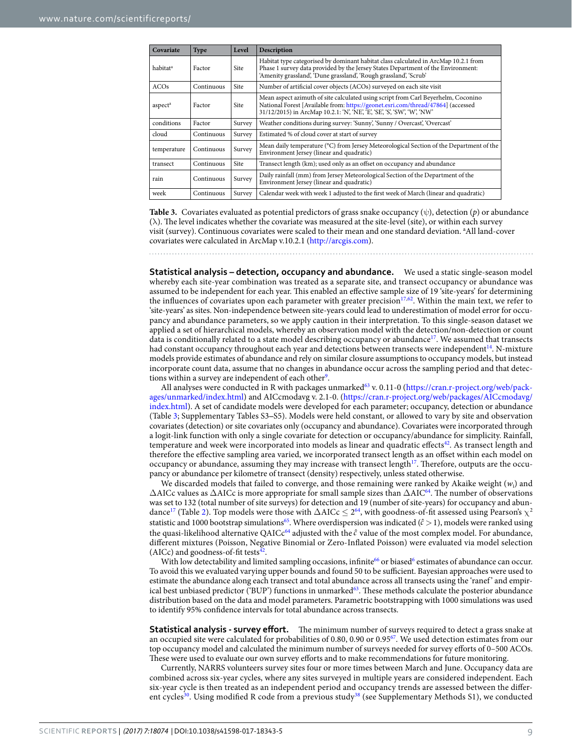| Covariate            | <b>Type</b> | <b>Level</b> | Description                                                                                                                                                                                                                                       |
|----------------------|-------------|--------------|---------------------------------------------------------------------------------------------------------------------------------------------------------------------------------------------------------------------------------------------------|
| habitat <sup>a</sup> | Factor      | <b>Site</b>  | Habitat type categorised by dominant habitat class calculated in ArcMap 10.2.1 from<br>Phase 1 survey data provided by the Jersey States Department of the Environment:<br>'Amenity grassland', 'Dune grassland', 'Rough grassland', 'Scrub'      |
| ACOs                 | Continuous  | <b>Site</b>  | Number of artificial cover objects (ACOs) surveyed on each site visit                                                                                                                                                                             |
| aspect <sup>a</sup>  | Factor      | <b>Site</b>  | Mean aspect azimuth of site calculated using script from Carl Beyerhelm, Coconino<br>National Forest [Available from: https://geonet.esri.com/thread/47864] (accessed<br>31/12/2015) in ArcMap 10.2.1: 'N', 'NE', 'E', 'SE', 'S', 'SW', 'W', 'NW' |
| conditions           | Factor      | Survey       | Weather conditions during survey: 'Sunny', 'Sunny / Overcast', 'Overcast'                                                                                                                                                                         |
| cloud                | Continuous  | Survey       | Estimated % of cloud cover at start of survey                                                                                                                                                                                                     |
| temperature          | Continuous  | Survey       | Mean daily temperature (°C) from Jersey Meteorological Section of the Department of the<br>Environment Jersey (linear and quadratic)                                                                                                              |
| transect             | Continuous  | Site         | Transect length (km); used only as an offset on occupancy and abundance                                                                                                                                                                           |
| rain                 | Continuous  | Survey       | Daily rainfall (mm) from Jersey Meteorological Section of the Department of the<br>Environment Jersey (linear and quadratic)                                                                                                                      |
| week                 | Continuous  | Survey       | Calendar week with week 1 adjusted to the first week of March (linear and quadratic)                                                                                                                                                              |

<span id="page-9-2"></span><span id="page-9-1"></span><span id="page-9-0"></span>**Table 3.** Covariates evaluated as potential predictors of grass snake occupancy  $(\psi)$ , detection  $(p)$  or abundance (λ). he level indicates whether the covariate was measured at the site-level (site), or within each survey visit (survey). Continuous covariates were scaled to their mean and one standard deviation. <sup>a</sup>All land-cover covariates were calculated in ArcMap v.10.2.1 ([http://arcgis.com\)](http://arcgis.com).

<span id="page-9-4"></span><span id="page-9-3"></span>

<span id="page-9-8"></span><span id="page-9-7"></span><span id="page-9-6"></span><span id="page-9-5"></span>**Statistical analysis – detection, occupancy and abundance.** We used a static single-season model whereby each site-year combination was treated as a separate site, and transect occupancy or abundance was assumed to be independent for each year. his enabled an efective sample size of 19 'site-years' for determining the influences of covariates upon each parameter with greater precision<sup>[17](#page-9-33)[,62](#page-10-23)</sup>. Within the main text, we refer to 'site-years' as sites. Non-independence between site-years could lead to underestimation of model error for occupancy and abundance parameters, so we apply caution in their interpretation. To this single-season dataset we applied a set of hierarchical models, whereby an observation model with the detection/non-detection or count data is conditionally related to a state model describing occupancy or abundance<sup>[17](#page-9-33)</sup>. We assumed that transects had constant occupancy throughout each year and detections between transects were independent<sup>[14](#page-9-11)</sup>. N-mixture models provide estimates of abundance and rely on similar closure assumptions to occupancy models, but instead incorporate count data, assume that no changes in abundance occur across the sampling period and that detec-tions within a survey are independent of each other<sup>[9](#page-9-7)</sup>.

<span id="page-9-33"></span><span id="page-9-16"></span><span id="page-9-15"></span><span id="page-9-14"></span><span id="page-9-13"></span><span id="page-9-12"></span><span id="page-9-11"></span><span id="page-9-10"></span><span id="page-9-9"></span>All analyses were conducted in R with packages unmarked<sup>[63](#page-10-24)</sup> v. 0.11-0 ([https://cran.r-project.org/web/pack](https://cran.r-project.org/web/packages/unmarked/index.html)[ages/unmarked/index.html\)](https://cran.r-project.org/web/packages/unmarked/index.html) and AICcmodavg v. 2.1-0. ([https://cran.r-project.org/web/packages/AICcmodavg/](https://cran.r-project.org/web/packages/AICcmodavg/index.html) [index.html](https://cran.r-project.org/web/packages/AICcmodavg/index.html)). A set of candidate models were developed for each parameter; occupancy, detection or abundance (Table [3;](#page-8-0) Supplementary Tables S3‒S5). Models were held constant, or allowed to vary by site and observation covariates (detection) or site covariates only (occupancy and abundance). Covariates were incorporated through a logit-link function with only a single covariate for detection or occupancy/abundance for simplicity. Rainfall, temperature and week were incorporated into models as linear and quadratic effects<sup>[42](#page-10-5)</sup>. As transect length and therefore the efective sampling area varied, we incorporated transect length as an ofset within each model on occupancy or abundance, assuming they may increase with transect length<sup>[17](#page-9-33)</sup>. Therefore, outputs are the occupancy or abundance per kilometre of transect (density) respectively, unless stated otherwise.

<span id="page-9-24"></span><span id="page-9-23"></span><span id="page-9-22"></span><span id="page-9-21"></span><span id="page-9-20"></span><span id="page-9-19"></span><span id="page-9-18"></span><span id="page-9-17"></span>We discarded models that failed to converge, and those remaining were ranked by Akaike weight  $(w_{i})$  and ∆AICc values as ∆AICc is more appropriate for small sample sizes than ∆AIC<sup>[64](#page-10-25)</sup>. The number of observations was set to 132 (total number of site surveys) for detection and 19 (number of site-years) for occupancy and abun-dance<sup>[17](#page-9-33)</sup> (Table [2](#page-3-0)). Top models were those with  $\Delta AICc \leq 2^{64}$  $\Delta AICc \leq 2^{64}$  $\Delta AICc \leq 2^{64}$ , with goodness-of-fit assessed using Pearson's  $\chi^2$ statistic and 1000 bootstrap simulations<sup>[65](#page-10-26)</sup>. Where overdispersion was indicated ( $\hat{c} > 1$ ), models were ranked using the quasi-likelihood alternative QAICc<sup>[64](#page-10-25)</sup> adjusted with the  $\hat{c}$  value of the most complex model. For abundance, diferent mixtures (Poisson, Negative Binomial or Zero-Inlated Poisson) were evaluated via model selection  $(AICc)$  and goodness-of-fit tests<sup>[42](#page-10-5)</sup>.

<span id="page-9-27"></span><span id="page-9-26"></span><span id="page-9-25"></span>With low detectability and limited sampling occasions, infinite<sup>[66](#page-10-27)</sup> or biased<sup>[6](#page-9-4)</sup> estimates of abundance can occur. To avoid this we evaluated varying upper bounds and found 50 to be sufficient. Bayesian approaches were used to estimate the abundance along each transect and total abundance across all transects using the 'ranef' and empir-ical best unbiased predictor ('BUP') functions in unmarked<sup>[63](#page-10-24)</sup>. These methods calculate the posterior abundance distribution based on the data and model parameters. Parametric bootstrapping with 1000 simulations was used to identify 95% confidence intervals for total abundance across transects.

<span id="page-9-29"></span><span id="page-9-28"></span>**Statistical analysis - survey effort.** The minimum number of surveys required to detect a grass snake at an occupied site were calculated for probabilities of 0.80, 0.90 or 0.95[67](#page-10-28). We used detection estimates from our top occupancy model and calculated the minimum number of surveys needed for survey efforts of 0-500 ACOs. These were used to evaluate our own survey efforts and to make recommendations for future monitoring.

<span id="page-9-34"></span><span id="page-9-32"></span><span id="page-9-31"></span><span id="page-9-30"></span>Currently, NARRS volunteers survey sites four or more times between March and June. Occupancy data are combined across six-year cycles, where any sites surveyed in multiple years are considered independent. Each six-year cycle is then treated as an independent period and occupancy trends are assessed between the difer-ent cycles<sup>[30](#page-9-26)</sup>. Using modified R code from a previous study<sup>[38](#page-10-1)</sup> (see Supplementary Methods S1), we conducted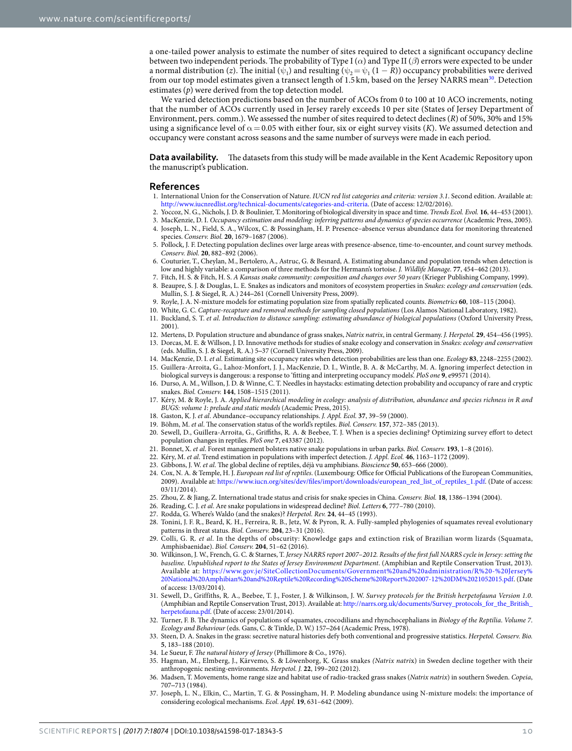<span id="page-10-2"></span><span id="page-10-1"></span>a one-tailed power analysis to estimate the number of sites required to detect a significant occupancy decline between two independent periods. he probability of Type I (*α*) and Type II (*β*) errors were expected to be under a normal distribution (z). The initial ( $\psi_1$ ) and resulting ( $\psi_2 = \psi_1$  (1 – R)) occupancy probabilities were derived from our top model estimates given a transect length of 1.5 km, based on the Jersey NARRS mean<sup>[30](#page-9-26)</sup>. Detection estimates (p) were derived from the top detection model.

<span id="page-10-5"></span><span id="page-10-4"></span><span id="page-10-3"></span>We varied detection predictions based on the number of ACOs from 0 to 100 at 10 ACO increments, noting that the number of ACOs currently used in Jersey rarely exceeds 10 per site (States of Jersey Department of Environment, pers. comm.). We assessed the number of sites required to detect declines (R) of 50%, 30% and 15% using a significance level of  $\alpha$  = 0.05 with either four, six or eight survey visits (K). We assumed detection and occupancy were constant across seasons and the same number of surveys were made in each period.

<span id="page-10-6"></span>**Data availability.** The datasets from this study will be made available in the Kent Academic Repository upon the manuscript's publication.

### <span id="page-10-7"></span>**References**

- <span id="page-10-8"></span> 1. International Union for the Conservation of Nature. IUCN red list categories and criteria: version 3.1. Second edition. Available at: [http://www.iucnredlist.org/technical-documents/categories-and-criteria.](http://www.iucnredlist.org/technical-documents/categories-and-criteria) (Date of access: 12/02/2016).
- <span id="page-10-9"></span>2. Yoccoz, N. G., Nichols, J. D. & Boulinier, T. Monitoring of biological diversity in space and time. Trends Ecol. Evol. **16**, 44–453 (2001).
- <span id="page-10-10"></span> 3. MacKenzie, D. I. Occupancy estimation and modeling: inferring patterns and dynamics of species occurrence (Academic Press, 2005). 4. Joseph, L. N., Field, S. A., Wilcox, C. & Possingham, H. P. Presence–absence versus abundance data for monitoring threatened
- species. Conserv. Biol. **20**, 1679–1687 (2006).
- <span id="page-10-11"></span>5. Pollock, J. F. Detecting population declines over large areas with presence-absence, time-to-encounter, and count survey methods. Conserv. Biol. **20**, 882–892 (2006).
- <span id="page-10-12"></span> 6. Couturier, T., Cheylan, M., Bertolero, A., Astruc, G. & Besnard, A. Estimating abundance and population trends when detection is low and highly variable: a comparison of three methods for the Hermann's tortoise. J. Wildlife Manage. **77**, 454–462 (2013).
- <span id="page-10-13"></span> 7. Fitch, H. S. & Fitch, H. S. A Kansas snake community: composition and changes over 50 years (Krieger Publishing Company, 1999). 8. Beaupre, S. J. & Douglas, L. E. Snakes as indicators and monitors of ecosystem properties in Snakes: ecology and conservation (eds. Mullin, S. J. & Siegel, R. A.) 244-261 (Cornell University Press, 2009).
- <span id="page-10-14"></span>9. Royle, J. A. N‐mixture models for estimating population size from spatially replicated counts. Biometrics **60**, 108–115 (2004).
- <span id="page-10-15"></span>10. White, G. C. Capture-recapture and removal methods for sampling closed populations (Los Alamos National Laboratory, 1982).
- <span id="page-10-16"></span> 11. Buckland, S. T. et al. Introduction to distance sampling: estimating abundance of biological populations (Oxford University Press, 2001).
- <span id="page-10-17"></span>12. Mertens, D. Population structure and abundance of grass snakes, Natrix natrix, in central Germany. J. Herpetol. **29**, 454–456 (1995).
- <span id="page-10-18"></span>13. Dorcas, M. E. & Willson, J. D. Innovative methods for studies of snake ecology and conservation in Snakes: ecology and conservation (eds. Mullin, S. J. & Siegel, R. A.) 5‒37 (Cornell University Press, 2009).
- 14. MacKenzie, D. I. et al. Estimating site occupancy rates when detection probabilities are less than one. Ecology **83**, 2248–2255 (2002). 15. Guillera-Arroita, G., Lahoz-Monfort, J. J., MacKenzie, D. I., Wintle, B. A. & McCarthy, M. A. Ignoring imperfect detection in
- <span id="page-10-19"></span>biological surveys is dangerous: a response to 'itting and interpreting occupancy models'. PloS one **9**, e99571 (2014). 16. Durso, A. M., Willson, J. D. & Winne, C. T. Needles in haystacks: estimating detection probability and occupancy of rare and cryptic
- <span id="page-10-20"></span>snakes. Biol. Conserv. **144**, 1508–1515 (2011).
- <span id="page-10-21"></span> 17. Kéry, M. & Royle, J. A. Applied hierarchical modeling in ecology: analysis of distribution, abundance and species richness in R and BUGS: volume 1: prelude and static models (Academic Press, 2015).
- 18. Gaston, K. J. et al. Abundance–occupancy relationships. J. Appl. Ecol. **37**, 39–59 (2000).
- <span id="page-10-22"></span>19. Böhm, M. et al. he conservation status of the world's reptiles. Biol. Conserv. **157**, 372–385 (2013).
- <span id="page-10-23"></span> 20. Sewell, D., Guillera-Arroita, G., Griiths, R. A. & Beebee, T. J. When is a species declining? Optimizing survey efort to detect population changes in reptiles. PloS one **7**, e43387 (2012).
- <span id="page-10-24"></span>21. Bonnet, X. et al. Forest management bolsters native snake populations in urban parks. Biol. Conserv. **193**, 1–8 (2016).
- 22. Kéry, M. et al. Trend estimation in populations with imperfect detection. J. Appl. Ecol. **46**, 1163–1172 (2009).
- <span id="page-10-25"></span>23. Gibbons, J. W. et al. he global decline of reptiles, déjà vu amphibians. Bioscience **50**, 653–666 (2000).
- <span id="page-10-26"></span>24. Cox, N. A. & Temple, H. J. European red list of reptiles. (Luxembourg: Office for Official Publications of the European Communities, 2009). Available at: [https://www.iucn.org/sites/dev/iles/import/downloads/european\\_red\\_list\\_of\\_reptiles\\_1.pdf.](https://www.iucn.org/sites/dev/files/import/downloads/european_red_list_of_reptiles_1.pdf) (Date of access: 03/11/2014).
- <span id="page-10-28"></span><span id="page-10-27"></span>25. Zhou, Z. & Jiang, Z. International trade status and crisis for snake species in China. Conserv. Biol. **18**, 1386–1394 (2004).
- <span id="page-10-0"></span>26. Reading, C. J. et al. Are snake populations in widespread decline? Biol. Letters **6**, 777–780 (2010).
- 27. Rodda, G. Where's Waldo (and the snakes)? Herpetol. Rev. **24**, 44–45 (1993).
- 28. Tonini, J. F. R., Beard, K. H., Ferreira, R. B., Jetz, W. & Pyron, R. A. Fully-sampled phylogenies of squamates reveal evolutionary patterns in threat status. Biol. Conserv. **204**, 23–31 (2016).
- 29. Colli, G. R. et al. In the depths of obscurity: Knowledge gaps and extinction risk of Brazilian worm lizards (Squamata, Amphisbaenidae). Biol. Conserv. **204**, 51–62 (2016).
- 30. Wilkinson, J. W., French, G. C. & Starnes, T. Jersey NARRS report 2007–2012. Results of the irst full NARRS cycle in Jersey: setting the baseline. Unpublished report to the States of Jersey Environment Department. (Amphibian and Reptile Conservation Trust, 2013). Available at: [https://www.gov.je/SiteCollectionDocuments/Government%20and%20administration/R%20-%20Jersey%](https://www.gov.je/SiteCollectionDocuments/Government%20and%20administration/R%20-%20Jersey%20National%20Amphibian%20and%20Reptile%20Recording%20Scheme%20Report%202007-12%20DM%2021052015.pdf) [20National%20Amphibian%20and%20Reptile%20Recording%20Scheme%20Report%202007-12%20DM%2021052015.pdf.](https://www.gov.je/SiteCollectionDocuments/Government%20and%20administration/R%20-%20Jersey%20National%20Amphibian%20and%20Reptile%20Recording%20Scheme%20Report%202007-12%20DM%2021052015.pdf) (Date of access: 13/03/2014).
- 31. Sewell, D., Griffiths, R. A., Beebee, T. J., Foster, J. & Wilkinson, J. W. Survey protocols for the British herpetofauna Version 1.0. (Amphibian and Reptile Conservation Trust, 2013). Available at: [http://narrs.org.uk/documents/Survey\\_protocols\\_for\\_the\\_British\\_](http://narrs.org.uk/documents/Survey_protocols_for_the_British_herpetofauna.pdf) [herpetofauna.pdf.](http://narrs.org.uk/documents/Survey_protocols_for_the_British_herpetofauna.pdf) (Date of access: 23/01/2014).
- 32. Turner, F. B. The dynamics of populations of squamates, crocodilians and rhynchocephalians in Biology of the Reptilia. Volume 7. Ecology and Behaviour (eds. Gans, C. & Tinkle, D. W.) 157-264 (Academic Press, 1978).
- 33. Steen, D. A. Snakes in the grass: secretive natural histories defy both conventional and progressive statistics. Herpetol. Conserv. Bio. **5**, 183–188 (2010).
- 34. Le Sueur, F. The natural history of Jersey (Phillimore & Co., 1976).
- 35. Hagman, M., Elmberg, J., Kärvemo, S. & Löwenborg, K. Grass snakes (Natrix natrix) in Sweden decline together with their anthropogenic nesting-environments. Herpetol. J. **22**, 199–202 (2012).
- 36. Madsen, T. Movements, home range size and habitat use of radio-tracked grass snakes (Natrix natrix) in southern Sweden. Copeia, 707‒713 (1984).
- 37. Joseph, L. N., Elkin, C., Martin, T. G. & Possingham, H. P. Modeling abundance using N‐mixture models: the importance of considering ecological mechanisms. Ecol. Appl. **19**, 631–642 (2009).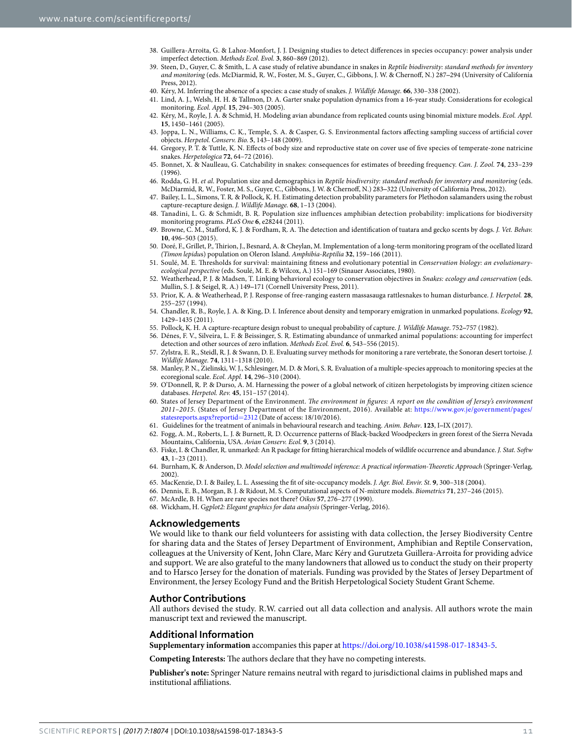- 38. Guillera‐Arroita, G. & Lahoz‐Monfort, J. J. Designing studies to detect diferences in species occupancy: power analysis under imperfect detection. Methods Ecol. Evol. **3**, 860–869 (2012).
- 39. Steen, D., Guyer, C. & Smith, L. A case study of relative abundance in snakes in Reptile biodiversity: standard methods for inventory and monitoring (eds. McDiarmid, R. W., Foster, M. S., Guyer, C., Gibbons, J. W. & Chernoff, N.) 287-294 (University of California Press, 2012).
- 40. Kéry, M. Inferring the absence of a species: a case study of snakes. J. Wildlife Manage. **66**, 330–338 (2002).
- 41. Lind, A. J., Welsh, H. H. & Tallmon, D. A. Garter snake population dynamics from a 16-year study. Considerations for ecological monitoring. Ecol. Appl. **15**, 294–303 (2005).
- 42. Kéry, M., Royle, J. A. & Schmid, H. Modeling avian abundance from replicated counts using binomial mixture models. Ecol. Appl. **15**, 1450–1461 (2005).
- 43. Joppa, L. N., Williams, C. K., Temple, S. A. & Casper, G. S. Environmental factors affecting sampling success of artificial cover objects. Herpetol. Conserv. Bio. **5**, 143–148 (2009).
- 44. Gregory, P. T. & Tuttle, K. N. Efects of body size and reproductive state on cover use of ive species of temperate-zone natricine snakes. Herpetologica **72**, 64–72 (2016).
- 45. Bonnet, X. & Naulleau, G. Catchability in snakes: consequences for estimates of breeding frequency. Can. J. Zool. **74**, 233–239  $(1996)$
- 46. Rodda, G. H. et al. Population size and demographics in Reptile biodiversity: standard methods for inventory and monitoring (eds. McDiarmid, R. W., Foster, M. S., Guyer, C., Gibbons, J. W. & Chernoff, N.) 283-322 (University of California Press, 2012).
- 47. Bailey, L. L., Simons, T. R. & Pollock, K. H. Estimating detection probability parameters for Plethodon salamanders using the robust capture-recapture design. J. Wildlife Manage. **68**, 1–13 (2004).
- 48. Tanadini, L. G. & Schmidt, B. R. Population size influences amphibian detection probability: implications for biodiversity monitoring programs. PLoS One **6**, e28244 (2011).
- 49. Browne, C. M., Stafford, K. J. & Fordham, R. A. The detection and identification of tuatara and gecko scents by dogs. J. Vet. Behav. **10**, 496–503 (2015).
- 50. Doré, F., Grillet, P., hirion, J., Besnard, A. & Cheylan, M. Implementation of a long-term monitoring program of the ocellated lizard (Timon lepidus) population on Oleron Island. Amphibia-Reptilia **32**, 159–166 (2011).
- 51. Soulé, M. E. Thresholds for survival: maintaining fitness and evolutionary potential in Conservation biology: an evolutionaryecological perspective (eds. Soulé, M. E. & Wilcox, A.) 151–169 (Sinauer Associates, 1980).
- 52. Weatherhead, P. J. & Madsen, T. Linking behavioral ecology to conservation objectives in Snakes: ecology and conservation (eds. Mullin, S. J. & Seigel, R. A.) 149-171 (Cornell University Press, 2011).
- 53. Prior, K. A. & Weatherhead, P. J. Response of free-ranging eastern massasauga rattlesnakes to human disturbance. J. Herpetol. **28**, 255–257 (1994).
- 54. Chandler, R. B., Royle, J. A. & King, D. I. Inference about density and temporary emigration in unmarked populations. Ecology **92**, 1429–1435 (2011).
- 55. Pollock, K. H. A capture-recapture design robust to unequal probability of capture. J. Wildlife Manage. 752-757 (1982).
- 56. Dénes, F. V., Silveira, L. F. & Beissinger, S. R. Estimating abundance of unmarked animal populations: accounting for imperfect detection and other sources of zero inlation. Methods Ecol. Evol. **6**, 543–556 (2015).
- 57. Zylstra, E. R., Steidl, R. J. & Swann, D. E. Evaluating survey methods for monitoring a rare vertebrate, the Sonoran desert tortoise. J. Wildlife Manage. **74**, 1311–1318 (2010).
- 58. Manley, P. N., Zielinski, W. J., Schlesinger, M. D. & Mori, S. R. Evaluation of a multiple‐species approach to monitoring species at the ecoregional scale. Ecol. Appl. **14**, 296–310 (2004).
- 59. O'Donnell, R. P. & Durso, A. M. Harnessing the power of a global network of citizen herpetologists by improving citizen science databases. Herpetol. Rev. **45**, 151–157 (2014).
- 60. States of Jersey Department of the Environment. he environment in igures: A report on the condition of Jersey's environment 2011–2015. (States of Jersey Department of the Environment, 2016). Available at: [https://www.gov.je/government/pages/](https://www.gov.je/government/pages/statesreports.aspx?reportid=2312) [statesreports.aspx?reportid](https://www.gov.je/government/pages/statesreports.aspx?reportid=2312)=2312 (Date of access: 18/10/2016).
- 61. Guidelines for the treatment of animals in behavioural research and teaching. Anim. Behav. **123**, I‒IX (2017).
- 62. Fogg, A. M., Roberts, L. J. & Burnett, R. D. Occurrence patterns of Black-backed Woodpeckers in green forest of the Sierra Nevada Mountains, California, USA. Avian Conserv. Ecol. **9**, 3 (2014).
- 63. Fiske, I. & Chandler, R. unmarked: An R package for fitting hierarchical models of wildlife occurrence and abundance. J. Stat. Softw **43**, 1–23 (2011).
- 64. Burnham, K. & Anderson, D. Model selection and multimodel inference: A practical information-Theoretic Approach (Springer-Verlag, 2002).
- 65. MacKenzie, D. I. & Bailey, L. L. Assessing the it of site-occupancy models. J. Agr. Biol. Envir. St. **9**, 300–318 (2004).
- 66. Dennis, E. B., Morgan, B. J. & Ridout, M. S. Computational aspects of N‐mixture models. Biometrics **71**, 237–246 (2015).
- 67. McArdle, B. H. When are rare species not there? Oikos **57**, 276–277 (1990).
- 68. Wickham, H. Ggplot2: Elegant graphics for data analysis (Springer-Verlag, 2016).

## **Acknowledgements**

We would like to thank our field volunteers for assisting with data collection, the Jersey Biodiversity Centre for sharing data and the States of Jersey Department of Environment, Amphibian and Reptile Conservation, colleagues at the University of Kent, John Clare, Marc Kéry and Gurutzeta Guillera-Arroita for providing advice and support. We are also grateful to the many landowners that allowed us to conduct the study on their property and to Harsco Jersey for the donation of materials. Funding was provided by the States of Jersey Department of Environment, the Jersey Ecology Fund and the British Herpetological Society Student Grant Scheme.

## **Author Contributions**

All authors devised the study. R.W. carried out all data collection and analysis. All authors wrote the main manuscript text and reviewed the manuscript.

## **Additional Information**

**Supplementary information** accompanies this paper at [https://doi.org/10.1038/s41598-017-18343-5.](http://dx.doi.org/10.1038/s41598-017-18343-5)

**Competing Interests:** The authors declare that they have no competing interests.

**Publisher's note:** Springer Nature remains neutral with regard to jurisdictional claims in published maps and institutional affiliations.